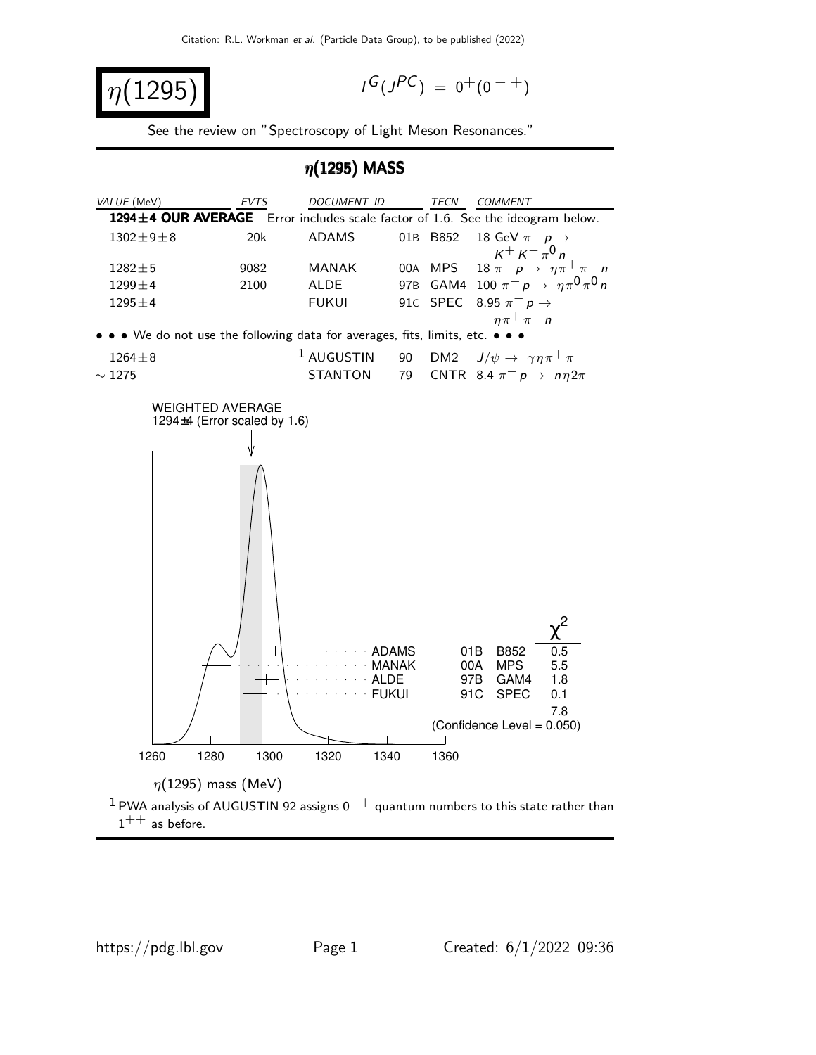$$
\eta(1295)
$$

$$
I^G(J^{PC}) = 0^+(0^{-+})
$$

See the review on "Spectroscopy of Light Meson Resonances."

### $\eta$ (1295) MASS

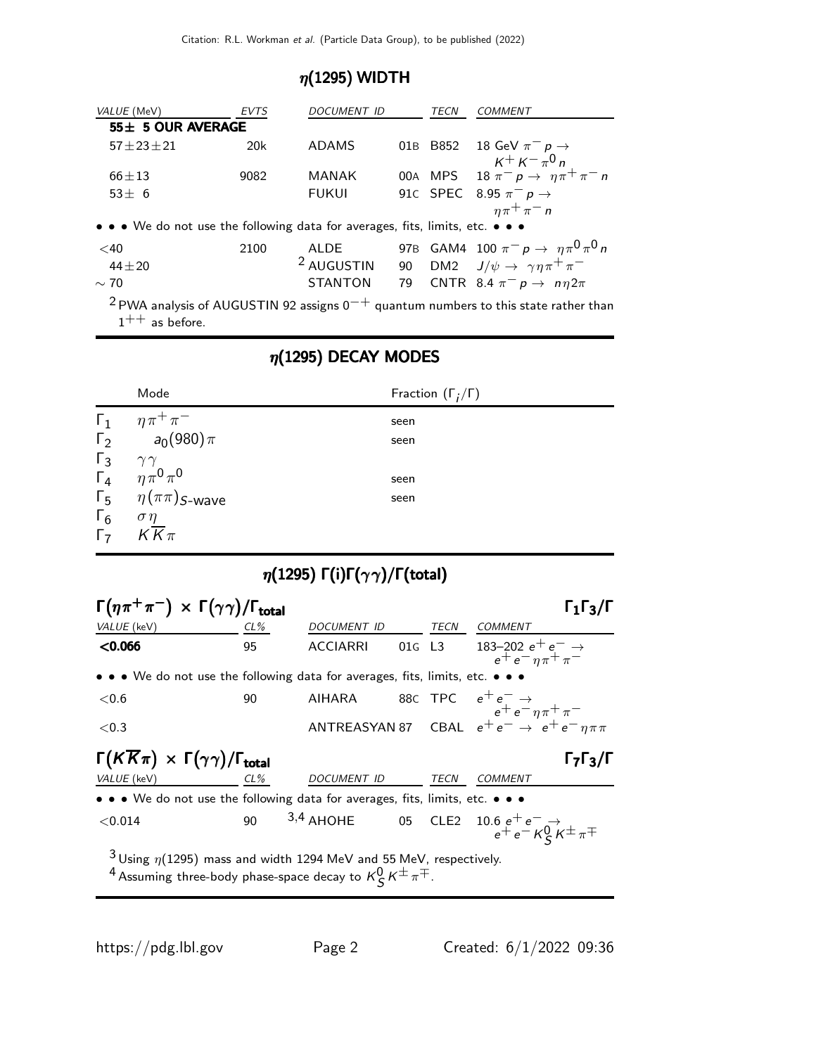## $\eta(1295)$  WIDTH

| VALUE (MeV)                                                                   | <b>EVTS</b> | DOCUMENT ID           |  | TECN | <i>COMMENT</i>                                                                                      |
|-------------------------------------------------------------------------------|-------------|-----------------------|--|------|-----------------------------------------------------------------------------------------------------|
| 55± 5 OUR AVERAGE                                                             |             |                       |  |      |                                                                                                     |
| $57 + 23 + 21$                                                                | 20k         | <b>ADAMS</b>          |  |      | 01B B852 18 GeV $\pi^- p \to$                                                                       |
| $66 + 13$                                                                     | 9082        | <b>MANAK</b>          |  |      | $K^+ K^- \pi^0 n$<br>00A MPS 18 $\pi^- p \to \eta \pi^+ \pi^- n$                                    |
| $53 + 6$                                                                      |             | <b>FUKUI</b>          |  |      | 91c SPEC 8.95 $\pi^ p \rightarrow$                                                                  |
|                                                                               |             |                       |  |      | $\eta \pi^+ \pi^- n$                                                                                |
| • • • We do not use the following data for averages, fits, limits, etc. • • • |             |                       |  |      |                                                                                                     |
| $<$ 40                                                                        | 2100        | ALDE                  |  |      | 97B GAM4 100 $\pi^- p \to \eta \pi^0 \pi^0 n$                                                       |
| $44 + 20$                                                                     |             | <sup>2</sup> AUGUSTIN |  |      | 90 DM2 $J/\psi \rightarrow \gamma \eta \pi^+ \pi^-$                                                 |
| $\sim$ 70                                                                     |             | <b>STANTON</b>        |  |      | 79 CNTR 8.4 $\pi^- p \rightarrow n \eta 2\pi$                                                       |
|                                                                               |             |                       |  |      | <sup>2</sup> PWA analysis of AUGUSTIN 92 assigns $0^{-+}$ quantum numbers to this state rather than |

 $1^{++}$  as before.

## $\eta(1295)$  DECAY MODES

|            | Mode                                                                               | Fraction $(\Gamma_i/\Gamma)$ |
|------------|------------------------------------------------------------------------------------|------------------------------|
|            | $\Gamma_1$ $\eta \pi^+ \pi^-$                                                      | seen                         |
|            | $\Gamma_2$ $a_0(980)\pi$                                                           | seen                         |
|            | $\begin{matrix} \Gamma_3 & \gamma\gamma \\ \Gamma_4 & \eta\pi^0\pi^0 \end{matrix}$ |                              |
|            |                                                                                    | seen                         |
|            | $\Gamma_5$ $\eta(\pi\pi)$ <i>s</i> -wave                                           | seen                         |
| $\Gamma_6$ | $\sigma\eta$                                                                       |                              |
|            | $\overline{\Gamma_7}$ $K\overline{K}\pi$                                           |                              |

# $\eta(1295)$  Γ(i)Γ $(\gamma \gamma)/$ Γ(total)

| $\Gamma(\eta \pi^+ \pi^-) \times \Gamma(\gamma \gamma) / \Gamma_{\text{total}}$                                                                                         |        |             |        |      | $\Gamma_1\Gamma_3/\Gamma$                                                                                                     |
|-------------------------------------------------------------------------------------------------------------------------------------------------------------------------|--------|-------------|--------|------|-------------------------------------------------------------------------------------------------------------------------------|
| VALUE (keV)                                                                                                                                                             | $CL\%$ | DOCUMENT ID |        | TECN | COMMENT                                                                                                                       |
| $<$ 0.066                                                                                                                                                               | 95     | ACCIARRI    | 01G L3 |      | 183-202 $e^+e^- \rightarrow$<br>$e^+e^-\eta\pi^+\pi^-$                                                                        |
| $\bullet \bullet \bullet$ We do not use the following data for averages, fits, limits, etc. $\bullet \bullet \bullet$                                                   |        |             |        |      |                                                                                                                               |
| ${<}0.6$                                                                                                                                                                | 90     |             |        |      | AIHARA 88C TPC $e^+e^- \rightarrow$<br>$e^+e^-\eta \pi^+ \pi^-$<br>ANTREASYAN 87 CBAL $e^+e^- \rightarrow e^+e^-\eta \pi \pi$ |
| ${<}0.3$                                                                                                                                                                |        |             |        |      |                                                                                                                               |
| $\Gamma(K\overline{K}\pi) \times \Gamma(\gamma\gamma)/\Gamma_{\text{total}}$<br>$\Gamma$ <sub>7</sub> $\Gamma$ <sub>3</sub> / $\Gamma$                                  |        |             |        |      |                                                                                                                               |
| VALUE (keV)                                                                                                                                                             | $CL\%$ | DOCUMENT ID |        | TECN | COMMENT                                                                                                                       |
| • • • We do not use the following data for averages, fits, limits, etc. • • •                                                                                           |        |             |        |      |                                                                                                                               |
| < 0.014                                                                                                                                                                 |        |             |        |      | 90 3,4 AHOHE 05 CLE2 $10.6 e^{+} e^{-} \rightarrow$<br>$e^{+} e^{-} K^{0}_{S} K^{\pm} \pi^{\mp}$                              |
| <sup>3</sup> Using $\eta$ (1295) mass and width 1294 MeV and 55 MeV, respectively.<br><sup>4</sup> Assuming three-body phase-space decay to $K^0_S K^{\pm} \pi^{\mp}$ . |        |             |        |      |                                                                                                                               |

a.